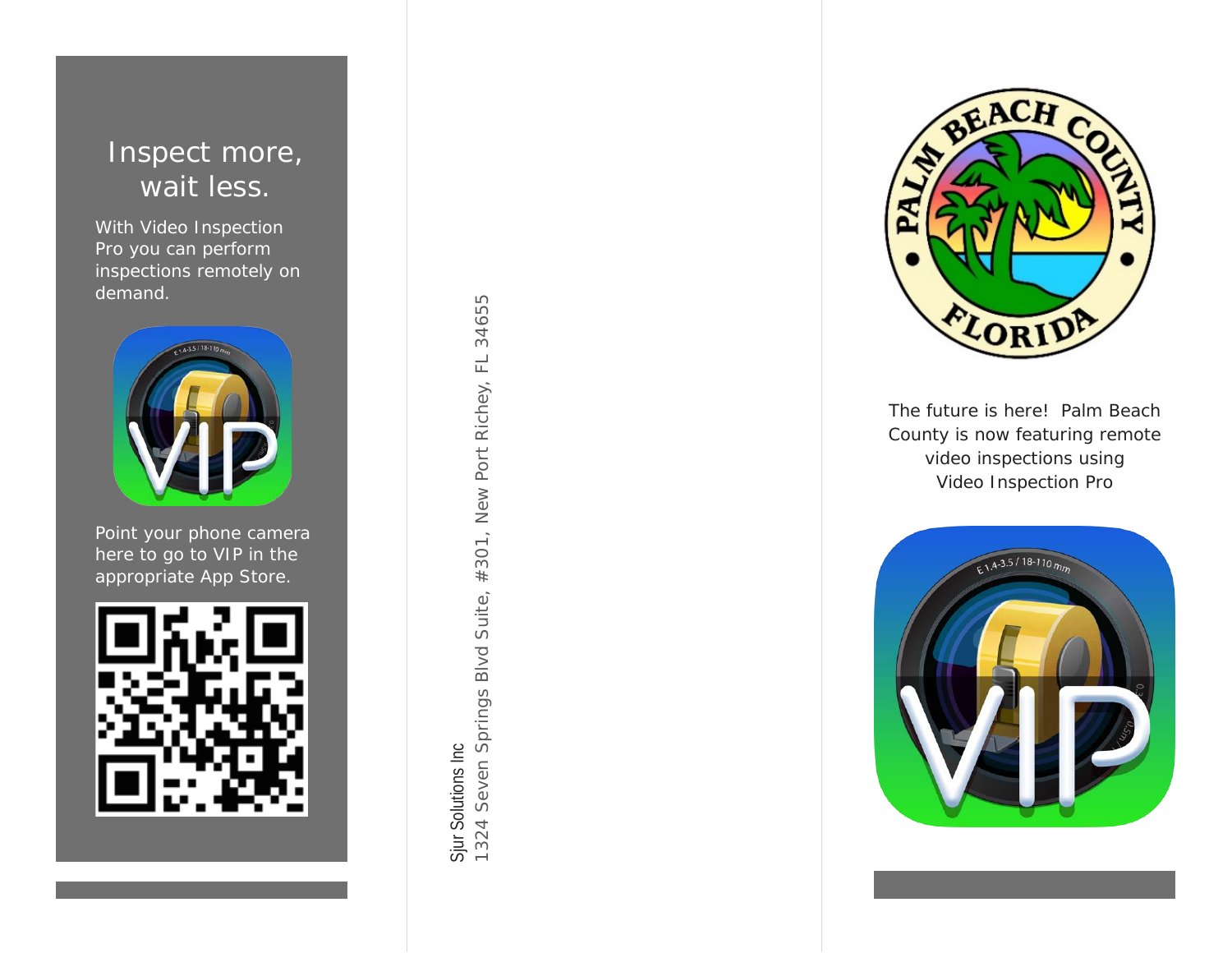#### Inspect more, wait less.

With Video Inspection Pro you can perform inspections remotely on demand.



Point your phone camera here to go to VIP in the appropriate App Store.

1324 Seven Springs Blvd Suite, #301, New Port Richey, FL 34655 1324 Seven Springs Blvd Suite, #301, New Port Richey, FL 34655 Sjur Solutions Inc Sjur Solutions Inc



The future is here ! Palm Beach County is now featuring remote video inspections using Video Inspection Pro